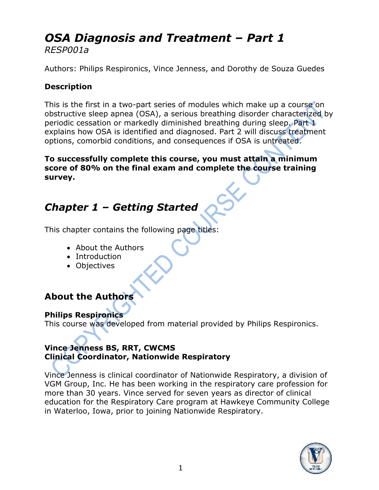# *OSA Diagnosis and Treatment – Part 1 RESP001a*

Authors: Philips Respironics, Vince Jenness, and Dorothy de Souza Guedes

#### **Description**

This is the first in a two-part series of modules which make up a course on obstructive sleep apnea (OSA), a serious breathing disorder characterized by periodic cessation or markedly diminished breathing during sleep. Part 1 explains how OSA is identified and diagnosed. Part 2 will discuss treatment options, comorbid conditions, and consequences if OSA is untreated.

**To successfully complete this course, you must attain a minimum score of 80% on the final exam and complete the course training survey.** 

# *Chapter 1 – Getting Started*

This chapter contains the following page titles:

- About the Authors
- Introduction
- Objectives

#### **About the Authors**

#### **Philips Respironics**

This course was developed from material provided by Philips Respironics.

#### **Vince Jenness BS, RRT, CWCMS Clinical Coordinator, Nationwide Respiratory**

Vince Jenness is clinical coordinator of Nationwide Respiratory, a division of VGM Group, Inc. He has been working in the respiratory care profession for more than 30 years. Vince served for seven years as director of clinical education for the Respiratory Care program at Hawkeye Community College in Waterloo, Iowa, prior to joining Nationwide Respiratory.

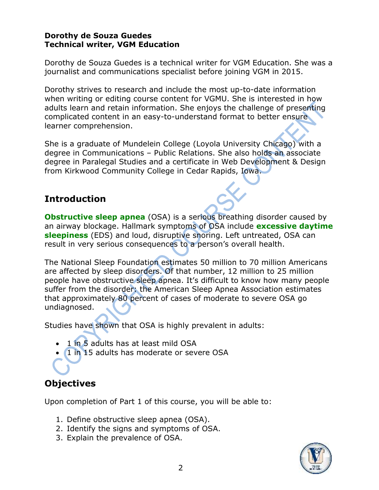#### **Dorothy de Souza Guedes Technical writer, VGM Education**

Dorothy de Souza Guedes is a technical writer for VGM Education. She was a journalist and communications specialist before joining VGM in 2015.

Dorothy strives to research and include the most up-to-date information when writing or editing course content for VGMU. She is interested in how adults learn and retain information. She enjoys the challenge of presenting complicated content in an easy-to-understand format to better ensure learner comprehension.

She is a graduate of Mundelein College (Loyola University Chicago) with a degree in Communications – Public Relations. She also holds an associate degree in Paralegal Studies and a certificate in Web Development & Design from Kirkwood Community College in Cedar Rapids, Iowa.

### **Introduction**

**Obstructive sleep apnea** (OSA) is a serious breathing disorder caused by an airway blockage. Hallmark symptoms of OSA include **excessive daytime sleepiness** (EDS) and loud, disruptive snoring. Left untreated, OSA can result in very serious consequences to a person's overall health.

The National Sleep Foundation estimates 50 million to 70 million Americans are affected by sleep disorders. Of that number, 12 million to 25 million people have obstructive sleep apnea. It's difficult to know how many people suffer from the disorder: the American Sleep Apnea Association estimates that approximately 80 percent of cases of moderate to severe OSA go undiagnosed.

Studies have shown that OSA is highly prevalent in adults:

- 1 in 5 adults has at least mild OSA
- 1 in 15 adults has moderate or severe OSA

# **Objectives**

Upon completion of Part 1 of this course, you will be able to:

- 1. Define obstructive sleep apnea (OSA).
- 2. Identify the signs and symptoms of OSA.
- 3. Explain the prevalence of OSA.

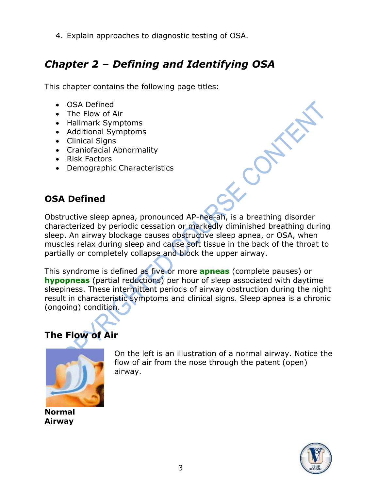4. Explain approaches to diagnostic testing of OSA.

# *Chapter 2 – Defining and Identifying OSA*

This chapter contains the following page titles:

- OSA Defined
- The Flow of Air
- Hallmark Symptoms
- Additional Symptoms
- Clinical Signs
- Craniofacial Abnormality
- Risk Factors
- Demographic Characteristics

## **OSA Defined**

Obstructive sleep apnea, pronounced AP-nee-ah, is a breathing disorder characterized by periodic cessation or markedly diminished breathing during sleep. An airway blockage causes obstructive sleep apnea, or OSA, when muscles relax during sleep and cause soft tissue in the back of the throat to partially or completely collapse and block the upper airway.

This syndrome is defined as five or more **apneas** (complete pauses) or **hypopneas** (partial reductions) per hour of sleep associated with daytime sleepiness. These intermittent periods of airway obstruction during the night result in characteristic symptoms and clinical signs. Sleep apnea is a chronic (ongoing) condition.

# **The Flow of Air**



**Normal Airway**

On the left is an illustration of a normal airway. Notice the flow of air from the nose through the patent (open) airway.

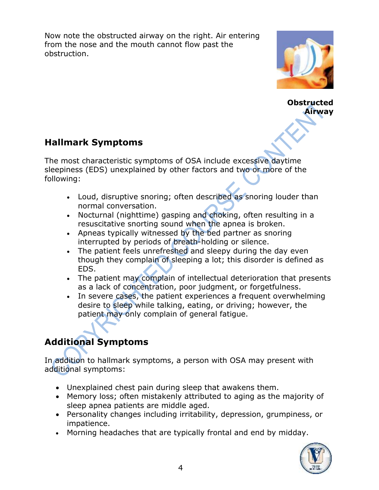Now note the obstructed airway on the right. Air entering from the nose and the mouth cannot flow past the obstruction.



**Obstructed Airway**

## **Hallmark Symptoms**

The most characteristic symptoms of OSA include excessive daytime sleepiness (EDS) unexplained by other factors and two or more of the following:

- Loud, disruptive snoring; often described as snoring louder than normal conversation.
- Nocturnal (nighttime) gasping and choking, often resulting in a resuscitative snorting sound when the apnea is broken.
- Apneas typically witnessed by the bed partner as snoring interrupted by periods of breath-holding or silence.
- The patient feels unrefreshed and sleepy during the day even though they complain of sleeping a lot; this disorder is defined as EDS.
- The patient may complain of intellectual deterioration that presents as a lack of concentration, poor judgment, or forgetfulness.
- In severe cases, the patient experiences a frequent overwhelming desire to sleep while talking, eating, or driving; however, the patient may only complain of general fatigue.

# **Additional Symptoms**

In addition to hallmark symptoms, a person with OSA may present with additional symptoms:

- Unexplained chest pain during sleep that awakens them.
- Memory loss; often mistakenly attributed to aging as the majority of sleep apnea patients are middle aged.
- Personality changes including irritability, depression, grumpiness, or impatience.
- Morning headaches that are typically frontal and end by midday.

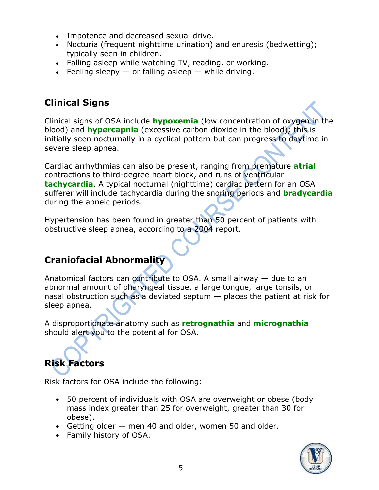- Impotence and decreased sexual drive.
- Nocturia (frequent nighttime urination) and enuresis (bedwetting); typically seen in children.
- Falling asleep while watching TV, reading, or working.
- Feeling sleepy  $-$  or falling asleep  $-$  while driving.

## **Clinical Signs**

Clinical signs of OSA include **hypoxemia** (low concentration of oxygen in the blood) and **hypercapnia** (excessive carbon dioxide in the blood); this is initially seen nocturnally in a cyclical pattern but can progress to daytime in severe sleep apnea.

Cardiac arrhythmias can also be present, ranging from premature **atrial** contractions to third-degree heart block, and runs of ventricular **tachycardia**. A typical nocturnal (nighttime) cardiac pattern for an OSA sufferer will include tachycardia during the snoring periods and **bradycardia** during the apneic periods.

Hypertension has been found in greater than 50 percent of patients with obstructive sleep apnea, according to a 2004 report.

# **Craniofacial Abnormality**

Anatomical factors can contribute to OSA. A small airway  $-$  due to an abnormal amount of pharyngeal tissue, a large tongue, large tonsils, or nasal obstruction such as a deviated septum — places the patient at risk for sleep apnea.

A disproportionate anatomy such as **retrognathia** and **micrognathia** should alert you to the potential for OSA.

# **Risk Factors**

Risk factors for OSA include the following:

- 50 percent of individuals with OSA are overweight or obese (body mass index greater than 25 for overweight, greater than 30 for obese).
- Getting older men 40 and older, women 50 and older.
- Family history of OSA.

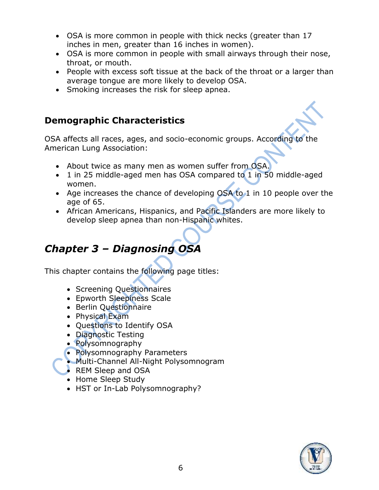- OSA is more common in people with thick necks (greater than 17 inches in men, greater than 16 inches in women).
- OSA is more common in people with small airways through their nose, throat, or mouth.
- People with excess soft tissue at the back of the throat or a larger than average tongue are more likely to develop OSA.
- Smoking increases the risk for sleep apnea.

#### **Demographic Characteristics**

OSA affects all races, ages, and socio-economic groups. According to the American Lung Association:

- About twice as many men as women suffer from OSA.
- 1 in 25 middle-aged men has OSA compared to 1 in 50 middle-aged women.
- Age increases the chance of developing OSA to 1 in 10 people over the age of 65.
- African Americans, Hispanics, and Pacific Islanders are more likely to develop sleep apnea than non-Hispanic whites.

# *Chapter 3 – Diagnosing OSA*

This chapter contains the following page titles:

- Screening Questionnaires
- Epworth Sleepiness Scale
- Berlin Questionnaire
- Physical Exam
- Questions to Identify OSA
- Diagnostic Testing
- Polysomnography
- Polysomnography Parameters
- Multi-Channel All-Night Polysomnogram
- REM Sleep and OSA
- Home Sleep Study
- HST or In-Lab Polysomnography?

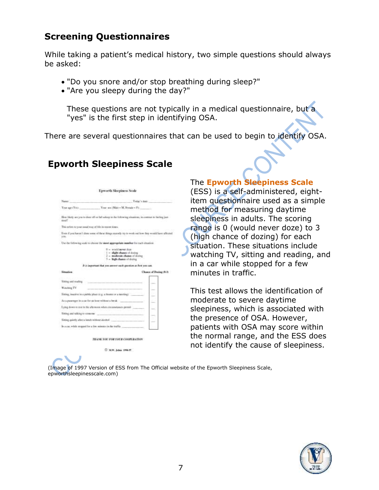#### **Screening Questionnaires**

While taking a patient's medical history, two simple questions should always be asked:

- "Do you snore and/or stop breathing during sleep?"
- "Are you sleepy during the day?"

These questions are not typically in a medical questionnaire, but a "yes" is the first step in identifying OSA.

There are several questionnaires that can be used to begin to identify OSA.

#### **Epworth Sleepiness Scale**

| Name: 1                                                |                                                                                                                                                                                                                                                                                                   | Today's date:          |
|--------------------------------------------------------|---------------------------------------------------------------------------------------------------------------------------------------------------------------------------------------------------------------------------------------------------------------------------------------------------|------------------------|
|                                                        |                                                                                                                                                                                                                                                                                                   |                        |
| timely con-                                            | Here Highy are you to done off or full asterp in the following situations, in contrast to facting just                                                                                                                                                                                            |                        |
| This refers to your small way of life in recent times. |                                                                                                                                                                                                                                                                                                   |                        |
|                                                        | Even if you haven't done some of these things rearnify by to work out how they would have affected<br>1000 HTML 이 사이에 다시 사용되어 있는데 이 사업이 하지만 하지만 하지만 하지만 하나 하나?                                                                                                                                    |                        |
|                                                        | Use the following scale to choose the most appropriate maniher for each situation.                                                                                                                                                                                                                |                        |
|                                                        | 2 - would turner door                                                                                                                                                                                                                                                                             |                        |
|                                                        | 1 = slight chance of maing<br>2 - moderate chance of decire<br>1 - high chance of dozing                                                                                                                                                                                                          |                        |
|                                                        | It is important that you answer nock question as best you can.                                                                                                                                                                                                                                    |                        |
|                                                        |                                                                                                                                                                                                                                                                                                   | Chance of Doring (8-3) |
| <b>Situation</b>                                       |                                                                                                                                                                                                                                                                                                   |                        |
| String and mading                                      |                                                                                                                                                                                                                                                                                                   |                        |
| Watching TV                                            |                                                                                                                                                                                                                                                                                                   |                        |
|                                                        | Sitting, inactive in a public place (e.g. a flexibility a detering)                                                                                                                                                                                                                               |                        |
|                                                        | As a pussenger in a six for an host without a be all.                                                                                                                                                                                                                                             |                        |
| Sixting and talking to someone-                        | Laire down to rest in the aftermore when circumstances permit.<br>in a complete the complete of the complete of the complete of the complete of the complete of the complete of<br>Seconds and the complete of the complete of the complete of the complete of the complete of the complete of th |                        |
|                                                        | Nitting sportly after a lanch without identical                                                                                                                                                                                                                                                   |                        |

#### The **Epworth Sleepiness Scale**

(ESS) is a self-administered, eightitem questionnaire used as a simple method for measuring daytime sleepiness in adults. The scoring range is 0 (would never doze) to 3 (high chance of dozing) for each situation. These situations include watching TV, sitting and reading, and in a car while stopped for a few minutes in traffic.

This test allows the identification of moderate to severe daytime sleepiness, which is associated with the presence of OSA. However, patients with OSA may score within the normal range, and the ESS does not identify the cause of sleepiness.

(Image of 1997 Version of ESS from The Official website of the Epworth Sleepiness Scale, epworthsleepinesscale.com)

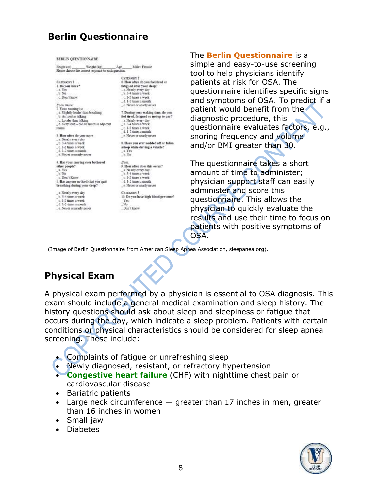### **Berlin Questionnaire**

| Height (m)                                    | Weight (kg)                                          | Ase                                     | Male / Female                          |  |  |  |
|-----------------------------------------------|------------------------------------------------------|-----------------------------------------|----------------------------------------|--|--|--|
|                                               | Please choose the correct response to each question. |                                         |                                        |  |  |  |
|                                               |                                                      |                                         | <b>CATEGORY 2</b>                      |  |  |  |
| <b>CATEGORY 1</b>                             |                                                      |                                         | 6. How often do you feel thred or      |  |  |  |
| 1. Do you snore?                              |                                                      |                                         | fatigued after your sleep?             |  |  |  |
| a Yes                                         |                                                      |                                         | a. Nearly every day                    |  |  |  |
| <b>b</b> No                                   |                                                      | h 3-4 times a week                      |                                        |  |  |  |
| c. Don't know                                 |                                                      |                                         | c. 1-2 times a week                    |  |  |  |
|                                               |                                                      |                                         | d. 1-2 tunes a month                   |  |  |  |
| Изон значе:                                   |                                                      |                                         | e. Never or nearly never               |  |  |  |
| 2. Your snoring is:                           |                                                      |                                         |                                        |  |  |  |
|                                               | a Slightly louder than breathing                     |                                         | 7. During your waking time, do you     |  |  |  |
| b. As loud as talking                         |                                                      |                                         | feel tired, fatigued or not up to par? |  |  |  |
| c. Louder than talking                        |                                                      |                                         | a. Nearly every day                    |  |  |  |
|                                               | _d. Very loud - can be heard in adjaceur             |                                         | h 3-4 times a week                     |  |  |  |
| TOOTH                                         |                                                      |                                         | t 1-2 times a week                     |  |  |  |
|                                               |                                                      |                                         | d. 1-2 times a month                   |  |  |  |
| 3. How often do you sauce                     |                                                      | e. Never or nearly never                |                                        |  |  |  |
| a Nearly every day.                           |                                                      |                                         |                                        |  |  |  |
| b. 3-4 times a week                           |                                                      | 8. Have you ever nodded off or fallen   |                                        |  |  |  |
| c. 1-2 times a week<br>$-4.1-2$ times a month |                                                      | adeep while driving a vehicle?<br>2.165 |                                        |  |  |  |
|                                               |                                                      | b. No.                                  |                                        |  |  |  |
| e. Never or nearly never                      |                                                      |                                         |                                        |  |  |  |
|                                               | 4. Has your snoring ever bothered                    | Hyat:                                   |                                        |  |  |  |
| other people?                                 |                                                      |                                         | 9. How often does this occur?          |  |  |  |
| a Yes                                         |                                                      |                                         | a Nearly every day.                    |  |  |  |
| b No                                          |                                                      |                                         | _ b. 3-4 tanes a week                  |  |  |  |
| c. Don't Know                                 |                                                      |                                         | $\subset 1-2$ times a week             |  |  |  |
|                                               | 5. Has auvone noticed that you quit                  |                                         | d. 1-2 tunes a month                   |  |  |  |
| breathing during your deep?                   |                                                      |                                         | . e. Never or nearly never             |  |  |  |
| a Nearly every day                            |                                                      |                                         | CATEGORY 3                             |  |  |  |
| b. 3-4 times a week                           |                                                      |                                         | 10. Do you have high blood pressure?   |  |  |  |
| c. 1-2 times a week                           |                                                      | Yв                                      |                                        |  |  |  |
| d. 1-2 times a month                          |                                                      | No:                                     |                                        |  |  |  |
| e. Never or nearly never                      |                                                      |                                         | Don't know                             |  |  |  |

The **Berlin Questionnaire** is a simple and easy-to-use screening tool to help physicians identify patients at risk for OSA. The questionnaire identifies specific signs and symptoms of OSA. To predict if a patient would benefit from the diagnostic procedure, this questionnaire evaluates factors, e.g., snoring frequency and volume and/or BMI greater than 30.

The questionnaire takes a short amount of time to administer; physician support staff can easily administer and score this questionnaire. This allows the physician to quickly evaluate the results and use their time to focus on patients with positive symptoms of OSA.

(Image of Berlin Questionnaire from American Sleep Apnea Association, sleepanea.org).

### **Physical Exam**

A physical exam performed by a physician is essential to OSA diagnosis. This exam should include a general medical examination and sleep history. The history questions should ask about sleep and sleepiness or fatigue that occurs during the day, which indicate a sleep problem. Patients with certain conditions or physical characteristics should be considered for sleep apnea screening. These include:

- Complaints of fatigue or unrefreshing sleep
- Newly diagnosed, resistant, or refractory hypertension
- **Congestive heart failure** (CHF) with nighttime chest pain or cardiovascular disease
- Bariatric patients
- Large neck circumference  $-$  greater than 17 inches in men, greater than 16 inches in women
- Small jaw
- Diabetes

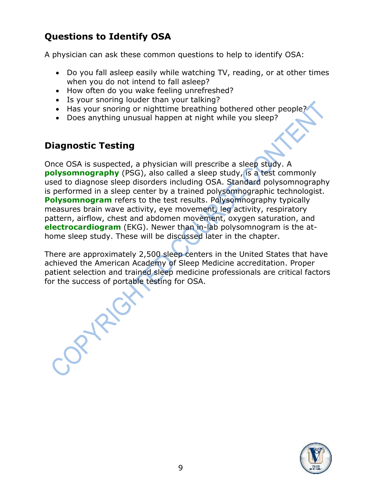# **Questions to Identify OSA**

A physician can ask these common questions to help to identify OSA:

- Do you fall asleep easily while watching TV, reading, or at other times when you do not intend to fall asleep?
- How often do you wake feeling unrefreshed?
- Is your snoring louder than your talking?
- Has your snoring or nighttime breathing bothered other people?
- Does anything unusual happen at night while you sleep?

### **Diagnostic Testing**

OPYRIGY

Once OSA is suspected, a physician will prescribe a sleep study. A **polysomnography** (PSG), also called a sleep study, is a test commonly used to diagnose sleep disorders including OSA. Standard polysomnography is performed in a sleep center by a trained polysomnographic technologist. **Polysomnogram** refers to the test results. Polysomnography typically measures brain wave activity, eye movement, leg activity, respiratory pattern, airflow, chest and abdomen movement, oxygen saturation, and **electrocardiogram** (EKG). Newer than in-lab polysomnogram is the athome sleep study. These will be discussed later in the chapter.

There are approximately 2,500 sleep centers in the United States that have achieved the American Academy of Sleep Medicine accreditation. Proper patient selection and trained sleep medicine professionals are critical factors for the success of portable testing for OSA.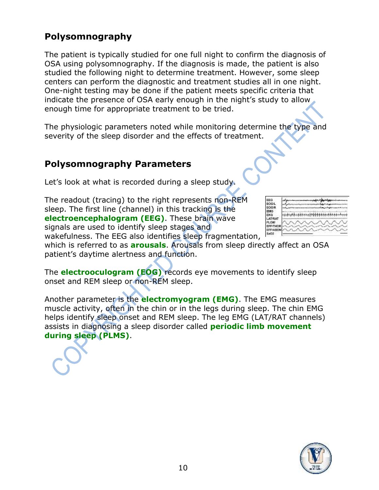#### **Polysomnography**

The patient is typically studied for one full night to confirm the diagnosis of OSA using polysomnography. If the diagnosis is made, the patient is also studied the following night to determine treatment. However, some sleep centers can perform the diagnostic and treatment studies all in one night. One-night testing may be done if the patient meets specific criteria that indicate the presence of OSA early enough in the night's study to allow enough time for appropriate treatment to be tried.

The physiologic parameters noted while monitoring determine the type and severity of the sleep disorder and the effects of treatment.

#### **Polysomnography Parameters**

Let's look at what is recorded during a sleep study.

The readout (tracing) to the right represents non-REM sleep. The first line (channel) in this tracking is the **electroencephalogram (EEG)**. These brain wave signals are used to identify sleep stages and wakefulness. The EEG also identifies sleep fragmentation,  $\mathbb{R}^2$ 

| EEG<br>EOGIL<br>EOGIR.                                                     |  |
|----------------------------------------------------------------------------|--|
| <b>EMG</b><br>EKG                                                          |  |
| LAT/RAT<br><b>FLOW</b><br><b>EFFITHOR</b><br>ΠN<br>EFF<br>SaO <sub>2</sub> |  |

which is referred to as **arousals**. Arousals from sleep directly affect an OSA patient's daytime alertness and function.

The **electrooculogram (EOG)** records eye movements to identify sleep onset and REM sleep or non-REM sleep.

Another parameter is the **electromyogram (EMG)**. The EMG measures muscle activity, often in the chin or in the legs during sleep. The chin EMG helps identify sleep onset and REM sleep. The leg EMG (LAT/RAT channels) assists in diagnosing a sleep disorder called **periodic limb movement during sleep (PLMS)**.

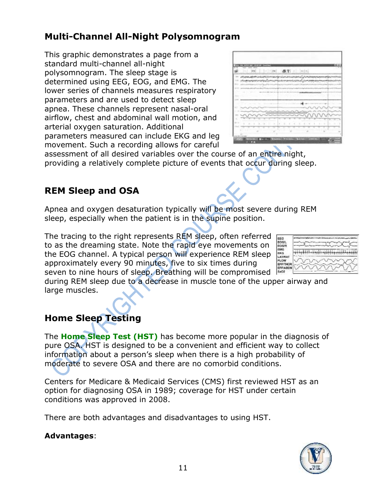## **Multi-Channel All-Night Polysomnogram**

This graphic demonstrates a page from a standard multi-channel all-night polysomnogram. The sleep stage is determined using EEG, EOG, and EMG. The lower series of channels measures respiratory parameters and are used to detect sleep apnea. These channels represent nasal-oral airflow, chest and abdominal wall motion, and arterial oxygen saturation. Additional parameters measured can include EKG and leg movement. Such a recording allows for careful

| whenever have a completely the problem in the complete state of the problem of the complete state of the complete state of the complete state of the complete state of the complete state of the complete state of the complet |  |   |   |  |  |  |  |
|--------------------------------------------------------------------------------------------------------------------------------------------------------------------------------------------------------------------------------|--|---|---|--|--|--|--|
| เป็นพร้องแทนหน่ายปนุมเป็นทองเท่านะกับจางอายุไม่เป็นพร้อง (Symuthetician                                                                                                                                                        |  |   |   |  |  |  |  |
|                                                                                                                                                                                                                                |  |   |   |  |  |  |  |
|                                                                                                                                                                                                                                |  |   |   |  |  |  |  |
|                                                                                                                                                                                                                                |  |   |   |  |  |  |  |
|                                                                                                                                                                                                                                |  |   |   |  |  |  |  |
|                                                                                                                                                                                                                                |  |   |   |  |  |  |  |
|                                                                                                                                                                                                                                |  |   |   |  |  |  |  |
|                                                                                                                                                                                                                                |  |   |   |  |  |  |  |
|                                                                                                                                                                                                                                |  |   |   |  |  |  |  |
|                                                                                                                                                                                                                                |  | ۰ | ٠ |  |  |  |  |
|                                                                                                                                                                                                                                |  |   |   |  |  |  |  |

assessment of all desired variables over the course of an entire night, providing a relatively complete picture of events that occur during sleep.

### **REM Sleep and OSA**

Apnea and oxygen desaturation typically will be most severe during REM sleep, especially when the patient is in the supine position.

The tracing to the right represents REM sleep, often referred to as the dreaming state. Note the rapid eye movements on the EOG channel. A typical person will experience REM sleep approximately every 90 minutes, five to six times during seven to nine hours of sleep. Breathing will be compromised

| EG<br>٥a١<br><b>GGIR</b>         |                                              |
|----------------------------------|----------------------------------------------|
| MĠ<br>ĸG<br><b>ATRAT</b>         | which have a contract of the contract of the |
| LOW<br>FF/THOR<br>FFIABON<br>302 |                                              |

during REM sleep due to a decrease in muscle tone of the upper airway and large muscles.

# **Home Sleep Testing**

The **Home Sleep Test (HST)** has become more popular in the diagnosis of pure OSA. HST is designed to be a convenient and efficient way to collect information about a person's sleep when there is a high probability of moderate to severe OSA and there are no comorbid conditions.

Centers for Medicare & Medicaid Services (CMS) first reviewed HST as an option for diagnosing OSA in 1989; coverage for HST under certain conditions was approved in 2008.

There are both advantages and disadvantages to using HST.

#### **Advantages**:

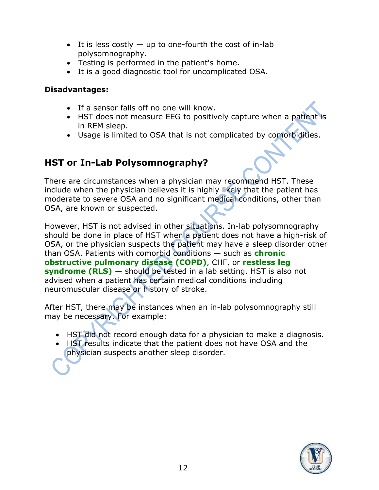- It is less costly  $-$  up to one-fourth the cost of in-lab polysomnography.
- Testing is performed in the patient's home.
- It is a good diagnostic tool for uncomplicated OSA.

#### **Disadvantages:**

- If a sensor falls off no one will know.
- HST does not measure EEG to positively capture when a patient is in REM sleep.
- Usage is limited to OSA that is not complicated by comorbidities.

## **HST or In-Lab Polysomnography?**

There are circumstances when a physician may recommend HST. These include when the physician believes it is highly likely that the patient has moderate to severe OSA and no significant medical conditions, other than OSA, are known or suspected.

However, HST is not advised in other situations. In-lab polysomnography should be done in place of HST when a patient does not have a high-risk of OSA, or the physician suspects the patient may have a sleep disorder other than OSA. Patients with comorbid conditions — such as **chronic obstructive pulmonary disease (COPD)**, CHF, or **restless leg syndrome (RLS)** — should be tested in a lab setting. HST is also not advised when a patient has certain medical conditions including neuromuscular disease or history of stroke.

After HST, there may be instances when an in-lab polysomnography still may be necessary. For example:

- HST did not record enough data for a physician to make a diagnosis.
- HST results indicate that the patient does not have OSA and the physician suspects another sleep disorder.

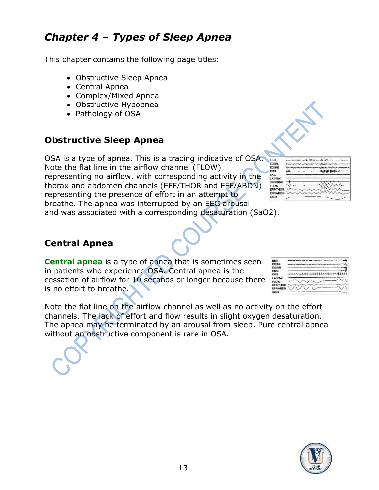# *Chapter 4 – Types of Sleep Apnea*

This chapter contains the following page titles:

- Obstructive Sleep Apnea
- Central Apnea
- Complex/Mixed Apnea
- Obstructive Hypopnea
- Pathology of OSA

### **Obstructive Sleep Apnea**

OSA is a type of apnea. This is a tracing indicative of OSA. Note the flat line in the airflow channel (FLOW) representing no airflow, with corresponding activity in the thorax and abdomen channels (EFF/THOR and EFF/ABDN) representing the presence of effort in an attempt to breathe. The apnea was interrupted by an EEG arousal and was associated with a corresponding desaturation (SaO2).

| EEG             |                  |
|-----------------|------------------|
| EOG/L           |                  |
| EOG/R           |                  |
| EMG             | <b>A distant</b> |
| EKG             |                  |
| LATMAT          |                  |
| <b>SNORING</b>  |                  |
| FLOW            |                  |
| <b>EFF/THOR</b> |                  |
| EFFIABON        | s AA             |
| 5a02            |                  |
|                 |                  |

#### **Central Apnea**

**Central apnea** is a type of apnea that is sometimes seen in patients who experience OSA. Central apnea is the cessation of airflow for 10 seconds or longer because there is no effort to breathe.

| EEG             |  |
|-----------------|--|
| EOGIL           |  |
| EOGIR           |  |
| <b>ENG</b>      |  |
| EKG             |  |
| LATIRAT         |  |
| <b>PLOW</b>     |  |
| <b>EFFITHOR</b> |  |
| EFFIABON        |  |
| aш              |  |

Note the flat line on the airflow channel as well as no activity on the effort channels. The lack of effort and flow results in slight oxygen desaturation. The apnea may be terminated by an arousal from sleep. Pure central apnea without an obstructive component is rare in OSA.

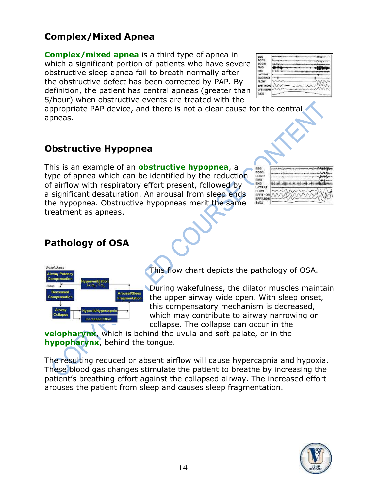### **Complex/Mixed Apnea**

**Complex/mixed apnea** is a third type of apnea in which a significant portion of patients who have severe obstructive sleep apnea fail to breath normally after the obstructive defect has been corrected by PAP. By definition, the patient has central apneas (greater than 5/hour) when obstructive events are treated with the

appropriate PAP device, and there is not a clear cause for the central apneas.

#### **Obstructive Hypopnea**

This is an example of an **obstructive hypopnea**, a type of apnea which can be identified by the reduction of airflow with respiratory effort present, followed by a significant desaturation. An arousal from sleep ends the hypopnea. Obstructive hypopneas merit the same treatment as apneas.

| FFG<br><b>FOG1</b><br><b>EOGR</b>                  |  |
|----------------------------------------------------|--|
| <b>EMG</b><br><b>EKG</b><br>LAT/RAT                |  |
| FLOW<br><b>EFF/THOR</b><br><b>EFF/ABDN</b><br>8002 |  |

### **Pathology of OSA**



This flow chart depicts the pathology of OSA.

During wakefulness, the dilator muscles maintain the upper airway wide open. With sleep onset, this compensatory mechanism is decreased, which may contribute to airway narrowing or collapse. The collapse can occur in the

**velopharynx**, which is behind the uvula and soft palate, or in the **hypopharynx**, behind the tongue.

The resulting reduced or absent airflow will cause hypercapnia and hypoxia. These blood gas changes stimulate the patient to breathe by increasing the patient's breathing effort against the collapsed airway. The increased effort arouses the patient from sleep and causes sleep fragmentation.



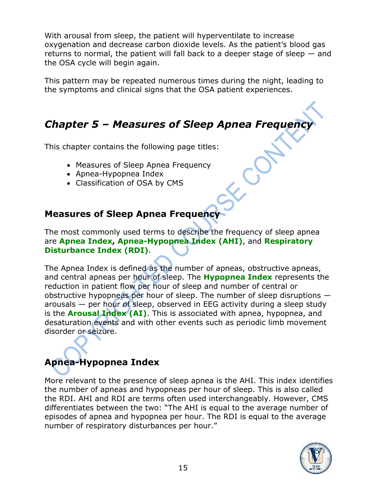With arousal from sleep, the patient will hyperventilate to increase oxygenation and decrease carbon dioxide levels. As the patient's blood gas returns to normal, the patient will fall back to a deeper stage of sleep — and the OSA cycle will begin again.

This pattern may be repeated numerous times during the night, leading to the symptoms and clinical signs that the OSA patient experiences.

# *Chapter 5 – Measures of Sleep Apnea Frequency*

This chapter contains the following page titles:

- Measures of Sleep Apnea Frequency
- Apnea-Hypopnea Index
- Classification of OSA by CMS

#### **Measures of Sleep Apnea Frequency**

The most commonly used terms to describe the frequency of sleep apnea are **Apnea Index, Apnea-Hypopnea Index (AHI)**, and **Respiratory Disturbance Index (RDI)**.

The Apnea Index is defined as the number of apneas, obstructive apneas, and central apneas per hour of sleep. The **Hypopnea Index** represents the reduction in patient flow per hour of sleep and number of central or obstructive hypopneas per hour of sleep. The number of sleep disruptions arousals — per hour of sleep, observed in EEG activity during a sleep study is the **Arousal Index (AI)**. This is associated with apnea, hypopnea, and desaturation events and with other events such as periodic limb movement disorder or seizure.

# **Apnea-Hypopnea Index**

More relevant to the presence of sleep apnea is the AHI. This index identifies the number of apneas and hypopneas per hour of sleep. This is also called the RDI. AHI and RDI are terms often used interchangeably. However, CMS differentiates between the two: "The AHI is equal to the average number of episodes of apnea and hypopnea per hour. The RDI is equal to the average number of respiratory disturbances per hour."

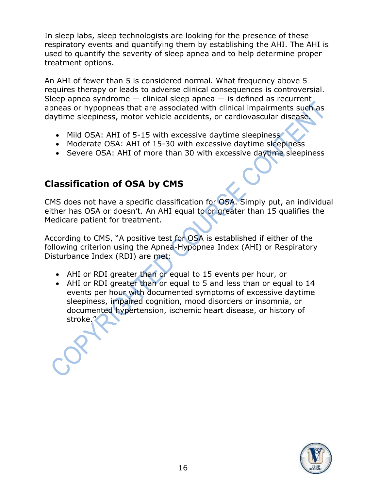In sleep labs, sleep technologists are looking for the presence of these respiratory events and quantifying them by establishing the AHI. The AHI is used to quantify the severity of sleep apnea and to help determine proper treatment options.

An AHI of fewer than 5 is considered normal. What frequency above 5 requires therapy or leads to adverse clinical consequences is controversial. Sleep apnea syndrome  $-$  clinical sleep apnea  $-$  is defined as recurrent. apneas or hypopneas that are associated with clinical impairments such as daytime sleepiness, motor vehicle accidents, or cardiovascular disease.

- Mild OSA: AHI of 5-15 with excessive daytime sleepiness
- Moderate OSA: AHI of 15-30 with excessive daytime sleepiness
- Severe OSA: AHI of more than 30 with excessive daytime sleepiness

#### **Classification of OSA by CMS**

CMS does not have a specific classification for OSA. Simply put, an individual either has OSA or doesn't. An AHI equal to or greater than 15 qualifies the Medicare patient for treatment.

According to CMS, "A positive test for OSA is established if either of the following criterion using the Apnea-Hypopnea Index (AHI) or Respiratory Disturbance Index (RDI) are met:

- AHI or RDI greater than or equal to 15 events per hour, or
- AHI or RDI greater than or equal to 5 and less than or equal to 14 events per hour with documented symptoms of excessive daytime sleepiness, impaired cognition, mood disorders or insomnia, or documented hypertension, ischemic heart disease, or history of stroke."

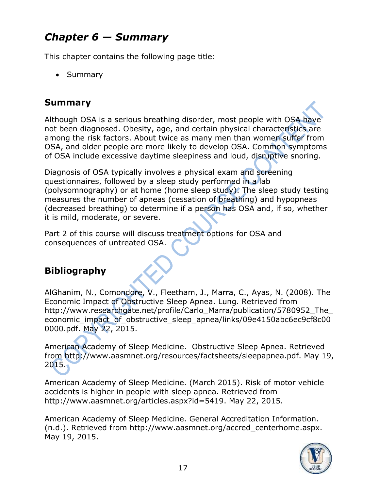# *Chapter 6 — Summary*

This chapter contains the following page title:

• Summary

## **Summary**

Although OSA is a serious breathing disorder, most people with OSA have not been diagnosed. Obesity, age, and certain physical characteristics are among the risk factors. About twice as many men than women suffer from OSA, and older people are more likely to develop OSA. Common symptoms of OSA include excessive daytime sleepiness and loud, disruptive snoring.

Diagnosis of OSA typically involves a physical exam and screening questionnaires, followed by a sleep study performed in a lab (polysomnography) or at home (home sleep study). The sleep study testing measures the number of apneas (cessation of breathing) and hypopneas (decreased breathing) to determine if a person has OSA and, if so, whether it is mild, moderate, or severe.

Part 2 of this course will discuss treatment options for OSA and consequences of untreated OSA.

# **Bibliography**

AlGhanim, N., Comondore, V., Fleetham, J., Marra, C., Ayas, N. (2008). The Economic Impact of Obstructive Sleep Apnea. Lung. Retrieved from http://www.researchgate.net/profile/Carlo\_Marra/publication/5780952\_The economic impact of obstructive sleep apnea/links/09e4150abc6ec9cf8c00 0000.pdf. May 22, 2015.

American Academy of Sleep Medicine. Obstructive Sleep Apnea. Retrieved from http://www.aasmnet.org/resources/factsheets/sleepapnea.pdf. May 19, 2015.

American Academy of Sleep Medicine. (March 2015). Risk of motor vehicle accidents is higher in people with sleep apnea. Retrieved from http://www.aasmnet.org/articles.aspx?id=5419. May 22, 2015.

American Academy of Sleep Medicine. General Accreditation Information. (n.d.). Retrieved from http://www.aasmnet.org/accred\_centerhome.aspx. May 19, 2015.

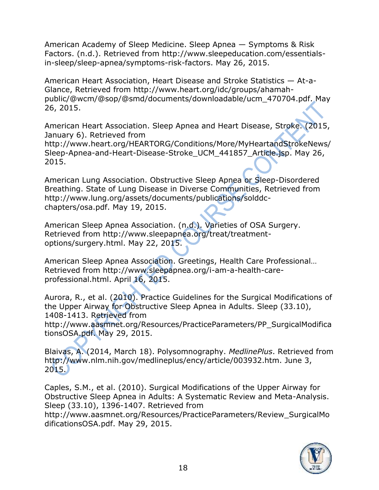American Academy of Sleep Medicine. Sleep Apnea — Symptoms & Risk Factors. (n.d.). Retrieved from http://www.sleepeducation.com/essentialsin-sleep/sleep-apnea/symptoms-risk-factors. May 26, 2015.

American Heart Association, Heart Disease and Stroke Statistics — At-a-Glance, Retrieved from http://www.heart.org/idc/groups/ahamahpublic/@wcm/@sop/@smd/documents/downloadable/ucm\_470704.pdf. May 26, 2015.

American Heart Association. Sleep Apnea and Heart Disease, Stroke. (2015, January 6). Retrieved from http://www.heart.org/HEARTORG/Conditions/More/MyHeartandStrokeNews/ Sleep-Apnea-and-Heart-Disease-Stroke\_UCM\_441857\_Article.jsp. May 26, 2015.

American Lung Association. Obstructive Sleep Apnea or Sleep-Disordered Breathing. State of Lung Disease in Diverse Communities, Retrieved from http://www.lung.org/assets/documents/publications/solddcchapters/osa.pdf. May 19, 2015.

American Sleep Apnea Association. (n.d.). Varieties of OSA Surgery. Retrieved from http://www.sleepapnea.org/treat/treatmentoptions/surgery.html. May 22, 2015.

American Sleep Apnea Association. Greetings, Health Care Professional… Retrieved from http://www.sleepapnea.org/i-am-a-health-careprofessional.html. April 16, 2015.

Aurora, R., et al. (2010). Practice Guidelines for the Surgical Modifications of the Upper Airway for Obstructive Sleep Apnea in Adults. Sleep (33.10), 1408-1413. Retrieved from

http://www.aasmnet.org/Resources/PracticeParameters/PP\_SurgicalModifica tionsOSA.pdf. May 29, 2015.

Blaivas, A. (2014, March 18). Polysomnography. *MedlinePlus*. Retrieved from http://www.nlm.nih.gov/medlineplus/ency/article/003932.htm. June 3, 2015.

Caples, S.M., et al. (2010). Surgical Modifications of the Upper Airway for Obstructive Sleep Apnea in Adults: A Systematic Review and Meta-Analysis. Sleep (33.10), 1396-1407. Retrieved from

http://www.aasmnet.org/Resources/PracticeParameters/Review\_SurgicalMo dificationsOSA.pdf. May 29, 2015.

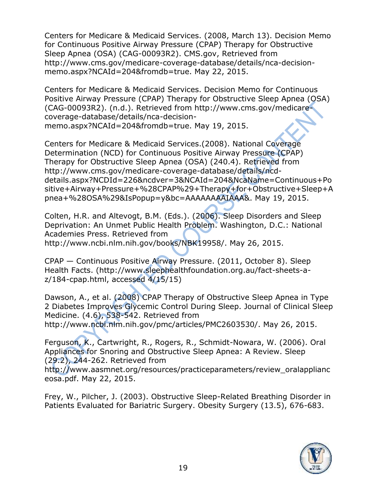Centers for Medicare & Medicaid Services. (2008, March 13). Decision Memo for Continuous Positive Airway Pressure (CPAP) Therapy for Obstructive Sleep Apnea (OSA) (CAG-00093R2). CMS.gov, Retrieved from http://www.cms.gov/medicare-coverage-database/details/nca-decisionmemo.aspx?NCAId=204&fromdb=true. May 22, 2015.

Centers for Medicare & Medicaid Services. Decision Memo for Continuous Positive Airway Pressure (CPAP) Therapy for Obstructive Sleep Apnea (OSA) (CAG-00093R2). (n.d.). Retrieved from http://www.cms.gov/medicarecoverage-database/details/nca-decisionmemo.aspx?NCAId=204&fromdb=true. May 19, 2015.

Centers for Medicare & Medicaid Services.(2008). National Coverage Determination (NCD) for Continuous Positive Airway Pressure (CPAP) Therapy for Obstructive Sleep Apnea (OSA) (240.4). Retrieved from http://www.cms.gov/medicare-coverage-database/details/ncddetails.aspx?NCDId=226&ncdver=3&NCAId=204&NcaName=Continuous+Po sitive+Airway+Pressure+%28CPAP%29+Therapy+for+Obstructive+Sleep+A pnea+%28OSA%29&IsPopup=y&bc=AAAAAAAAIAAA&. May 19, 2015.

Colten, H.R. and Altevogt, B.M. (Eds.). (2006). Sleep Disorders and Sleep Deprivation: An Unmet Public Health Problem. Washington, D.C.: National Academies Press. Retrieved from http://www.ncbi.nlm.nih.gov/books/NBK19958/. May 26, 2015.

CPAP — Continuous Positive Airway Pressure. (2011, October 8). Sleep Health Facts. (http://www.sleephealthfoundation.org.au/fact-sheets-az/184-cpap.html, accessed 4/15/15)

Dawson, A., et al. (2008) CPAP Therapy of Obstructive Sleep Apnea in Type 2 Diabetes Improves Glycemic Control During Sleep. Journal of Clinical Sleep Medicine. (4.6), 538-542. Retrieved from

http://www.ncbi.nlm.nih.gov/pmc/articles/PMC2603530/. May 26, 2015.

Ferguson, K., Cartwright, R., Rogers, R., Schmidt-Nowara, W. (2006). Oral Appliances for Snoring and Obstructive Sleep Apnea: A Review. Sleep (29.2), 244-262. Retrieved from

http://www.aasmnet.org/resources/practiceparameters/review\_oralapplianc eosa.pdf. May 22, 2015.

Frey, W., Pilcher, J. (2003). Obstructive Sleep-Related Breathing Disorder in Patients Evaluated for Bariatric Surgery. Obesity Surgery (13.5), 676-683.

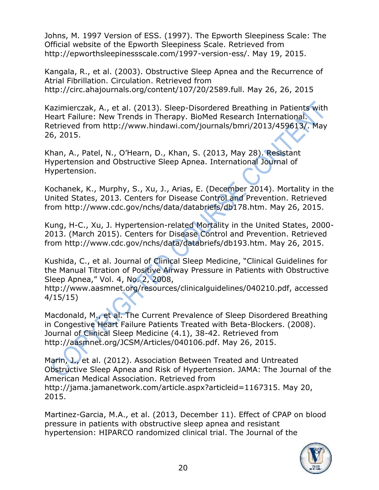Johns, M. 1997 Version of ESS. (1997). The Epworth Sleepiness Scale: The Official website of the Epworth Sleepiness Scale. Retrieved from http://epworthsleepinessscale.com/1997-version-ess/. May 19, 2015.

Kangala, R., et al. (2003). Obstructive Sleep Apnea and the Recurrence of Atrial Fibrillation. Circulation. Retrieved from http://circ.ahajournals.org/content/107/20/2589.full. May 26, 26, 2015

Kazimierczak, A., et al. (2013). Sleep-Disordered Breathing in Patients with Heart Failure: New Trends in Therapy. BioMed Research International. Retrieved from http://www.hindawi.com/journals/bmri/2013/459613/. May 26, 2015.

Khan, A., Patel, N., O'Hearn, D., Khan, S. (2013, May 28). Resistant Hypertension and Obstructive Sleep Apnea. International Journal of Hypertension.

Kochanek, K., Murphy, S., Xu, J., Arias, E. (December 2014). Mortality in the United States, 2013. Centers for Disease Control and Prevention. Retrieved from http://www.cdc.gov/nchs/data/databriefs/db178.htm. May 26, 2015.

Kung, H-C., Xu, J. Hypertension-related Mortality in the United States, 2000- 2013. (March 2015). Centers for Disease Control and Prevention. Retrieved from http://www.cdc.gov/nchs/data/databriefs/db193.htm. May 26, 2015.

Kushida, C., et al. Journal of Clinical Sleep Medicine, "Clinical Guidelines for the Manual Titration of Positive Airway Pressure in Patients with Obstructive Sleep Apnea," Vol. 4, No. 2, 2008,

http://www.aasmnet.org/resources/clinicalguidelines/040210.pdf, accessed 4/15/15)

Macdonald, M., et al. The Current Prevalence of Sleep Disordered Breathing in Congestive Heart Failure Patients Treated with Beta-Blockers. (2008). Journal of Clinical Sleep Medicine (4.1), 38-42. Retrieved from http://aasmnet.org/JCSM/Articles/040106.pdf. May 26, 2015.

Marin, J., et al. (2012). Association Between Treated and Untreated Obstructive Sleep Apnea and Risk of Hypertension. JAMA: The Journal of the American Medical Association. Retrieved from http://jama.jamanetwork.com/article.aspx?articleid=1167315. May 20, 2015.

Martinez-Garcia, M.A., et al. (2013, December 11). Effect of CPAP on blood pressure in patients with obstructive sleep apnea and resistant hypertension: HIPARCO randomized clinical trial. The Journal of the

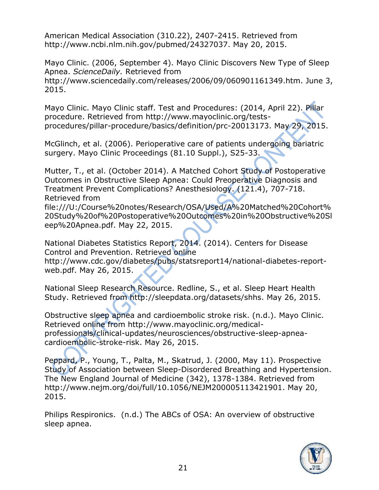American Medical Association (310.22), 2407-2415. Retrieved from http://www.ncbi.nlm.nih.gov/pubmed/24327037. May 20, 2015.

Mayo Clinic. (2006, September 4). Mayo Clinic Discovers New Type of Sleep Apnea. *ScienceDaily.* Retrieved from http://www.sciencedaily.com/releases/2006/09/060901161349.htm. June 3, 2015.

Mayo Clinic. Mayo Clinic staff. Test and Procedures: (2014, April 22). Pillar procedure. Retrieved from http://www.mayoclinic.org/testsprocedures/pillar-procedure/basics/definition/prc-20013173. May 29, 2015.

McGlinch, et al. (2006). Perioperative care of patients undergoing bariatric surgery. Mayo Clinic Proceedings (81.10 Suppl.), S25-33.

Mutter, T., et al. (October 2014). A Matched Cohort Study of Postoperative Outcomes in Obstructive Sleep Apnea: Could Preoperative Diagnosis and Treatment Prevent Complications? Anesthesiology. (121.4), 707-718. Retrieved from

file:///U:/Course%20notes/Research/OSA/Used/A%20Matched%20Cohort% 20Study%20of%20Postoperative%20Outcomes%20in%20Obstructive%20Sl eep%20Apnea.pdf. May 22, 2015.

National Diabetes Statistics Report, 2014. (2014). Centers for Disease Control and Prevention. Retrieved online

http://www.cdc.gov/diabetes/pubs/statsreport14/national-diabetes-reportweb.pdf. May 26, 2015.

National Sleep Research Resource. Redline, S., et al. Sleep Heart Health Study. Retrieved from http://sleepdata.org/datasets/shhs. May 26, 2015.

Obstructive sleep apnea and cardioembolic stroke risk. (n.d.). Mayo Clinic. Retrieved online from http://www.mayoclinic.org/medicalprofessionals/clinical-updates/neurosciences/obstructive-sleep-apneacardioembolic-stroke-risk. May 26, 2015.

Peppard, P., Young, T., Palta, M., Skatrud, J. (2000, May 11). Prospective Study of Association between Sleep-Disordered Breathing and Hypertension. The New England Journal of Medicine (342), 1378-1384. Retrieved from http://www.nejm.org/doi/full/10.1056/NEJM200005113421901. May 20, 2015.

Philips Respironics. (n.d.) The ABCs of OSA: An overview of obstructive sleep apnea.

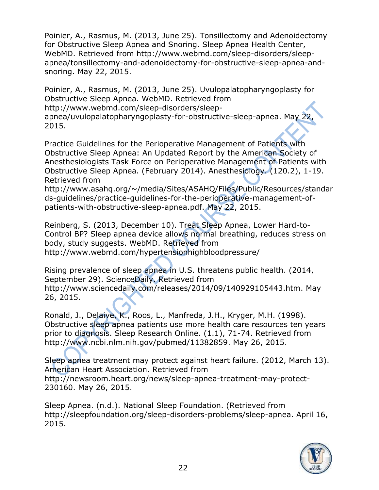Poinier, A., Rasmus, M. (2013, June 25). Tonsillectomy and Adenoidectomy for Obstructive Sleep Apnea and Snoring. Sleep Apnea Health Center, WebMD. Retrieved from http://www.webmd.com/sleep-disorders/sleepapnea/tonsillectomy-and-adenoidectomy-for-obstructive-sleep-apnea-andsnoring. May 22, 2015.

Poinier, A., Rasmus, M. (2013, June 25). Uvulopalatopharyngoplasty for Obstructive Sleep Apnea. WebMD. Retrieved from http://www.webmd.com/sleep-disorders/sleepapnea/uvulopalatopharyngoplasty-for-obstructive-sleep-apnea. May 22, 2015.

Practice Guidelines for the Perioperative Management of Patients with Obstructive Sleep Apnea: An Updated Report by the American Society of Anesthesiologists Task Force on Perioperative Management of Patients with Obstructive Sleep Apnea. (February 2014). Anesthesiology. (120.2), 1-19. Retrieved from

http://www.asahq.org/~/media/Sites/ASAHQ/Files/Public/Resources/standar ds-guidelines/practice-guidelines-for-the-perioperative-management-ofpatients-with-obstructive-sleep-apnea.pdf. May 22, 2015.

Reinberg, S. (2013, December 10). Treat Sleep Apnea, Lower Hard-to-Control BP? Sleep apnea device allows normal breathing, reduces stress on body, study suggests. WebMD. Retrieved from http://www.webmd.com/hypertensionhighbloodpressure/

Rising prevalence of sleep apnea in U.S. threatens public health. (2014, September 29). ScienceDaily. Retrieved from http://www.sciencedaily.com/releases/2014/09/140929105443.htm. May 26, 2015.

Ronald, J., Delaive, K., Roos, L., Manfreda, J.H., Kryger, M.H. (1998). Obstructive sleep apnea patients use more health care resources ten years prior to diagnosis. Sleep Research Online. (1.1), 71-74. Retrieved from http://www.ncbi.nlm.nih.gov/pubmed/11382859. May 26, 2015.

Sleep apnea treatment may protect against heart failure. (2012, March 13). American Heart Association. Retrieved from http://newsroom.heart.org/news/sleep-apnea-treatment-may-protect-230160. May 26, 2015.

Sleep Apnea. (n.d.). National Sleep Foundation. (Retrieved from http://sleepfoundation.org/sleep-disorders-problems/sleep-apnea. April 16, 2015.